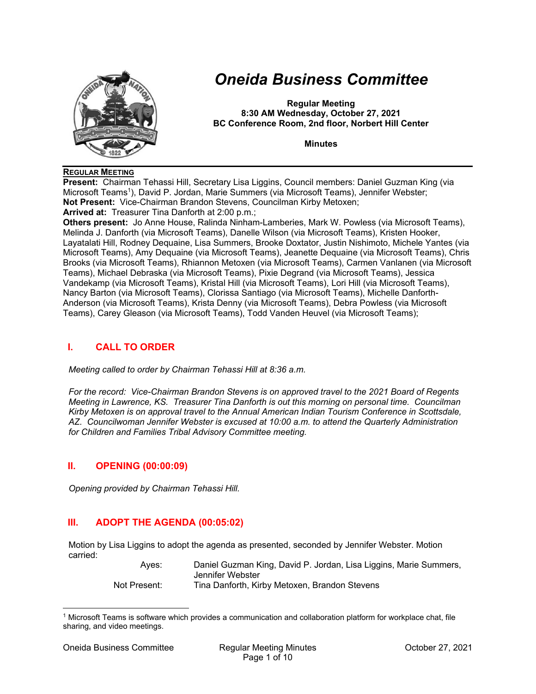

# *Oneida Business Committee*

**Regular Meeting 8:30 AM Wednesday, October 27, 2021 BC Conference Room, 2nd floor, Norbert Hill Center** 

**Minutes** 

#### **REGULAR MEETING**

**Present:** Chairman Tehassi Hill, Secretary Lisa Liggins, Council members: Daniel Guzman King (via Microsoft Teams<sup>1</sup>), David P. Jordan, Marie Summers (via Microsoft Teams), Jennifer Webster; **Not Present:** Vice-Chairman Brandon Stevens, Councilman Kirby Metoxen; **Arrived at:** Treasurer Tina Danforth at 2:00 p.m.;

**Others present:** Jo Anne House, Ralinda Ninham-Lamberies, Mark W. Powless (via Microsoft Teams), Melinda J. Danforth (via Microsoft Teams), Danelle Wilson (via Microsoft Teams), Kristen Hooker, Layatalati Hill, Rodney Dequaine, Lisa Summers, Brooke Doxtator, Justin Nishimoto, Michele Yantes (via Microsoft Teams), Amy Dequaine (via Microsoft Teams), Jeanette Dequaine (via Microsoft Teams), Chris Brooks (via Microsoft Teams), Rhiannon Metoxen (via Microsoft Teams), Carmen Vanlanen (via Microsoft Teams), Michael Debraska (via Microsoft Teams), Pixie Degrand (via Microsoft Teams), Jessica Vandekamp (via Microsoft Teams), Kristal Hill (via Microsoft Teams), Lori Hill (via Microsoft Teams), Nancy Barton (via Microsoft Teams), Clorissa Santiago (via Microsoft Teams), Michelle Danforth-Anderson (via Microsoft Teams), Krista Denny (via Microsoft Teams), Debra Powless (via Microsoft Teams), Carey Gleason (via Microsoft Teams), Todd Vanden Heuvel (via Microsoft Teams);

# **I. CALL TO ORDER**

*Meeting called to order by Chairman Tehassi Hill at 8:36 a.m.* 

*For the record: Vice-Chairman Brandon Stevens is on approved travel to the 2021 Board of Regents Meeting in Lawrence, KS. Treasurer Tina Danforth is out this morning on personal time. Councilman Kirby Metoxen is on approval travel to the Annual American Indian Tourism Conference in Scottsdale, AZ. Councilwoman Jennifer Webster is excused at 10:00 a.m. to attend the Quarterly Administration for Children and Families Tribal Advisory Committee meeting.* 

#### **II. OPENING (00:00:09)**

*Opening provided by Chairman Tehassi Hill.* 

# **III. ADOPT THE AGENDA (00:05:02)**

Motion by Lisa Liggins to adopt the agenda as presented, seconded by Jennifer Webster. Motion carried:

 Ayes: Daniel Guzman King, David P. Jordan, Lisa Liggins, Marie Summers, Jennifer Webster Not Present: Tina Danforth, Kirby Metoxen, Brandon Stevens

<sup>1</sup> Microsoft Teams is software which provides a communication and collaboration platform for workplace chat, file sharing, and video meetings.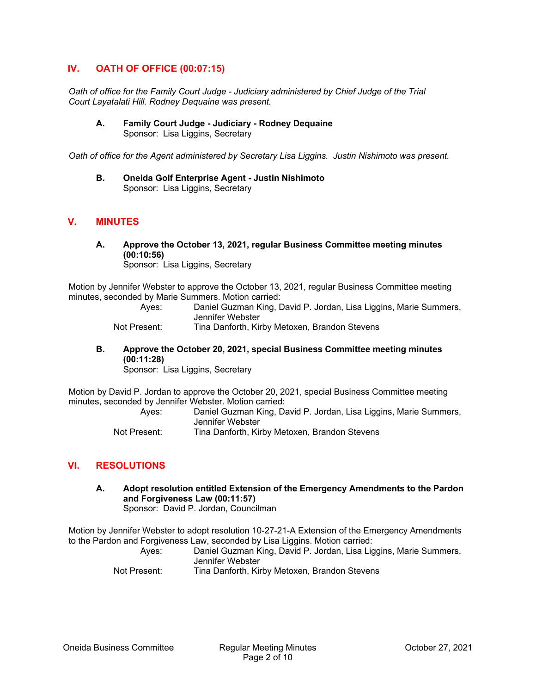## **IV. OATH OF OFFICE (00:07:15)**

*Oath of office for the Family Court Judge - Judiciary administered by Chief Judge of the Trial Court Layatalati Hill. Rodney Dequaine was present.* 

**A. Family Court Judge - Judiciary - Rodney Dequaine**  Sponsor: Lisa Liggins, Secretary

*Oath of office for the Agent administered by Secretary Lisa Liggins. Justin Nishimoto was present.* 

**B. Oneida Golf Enterprise Agent - Justin Nishimoto**  Sponsor: Lisa Liggins, Secretary

# **V. MINUTES**

**A. Approve the October 13, 2021, regular Business Committee meeting minutes (00:10:56)** 

Sponsor: Lisa Liggins, Secretary

Motion by Jennifer Webster to approve the October 13, 2021, regular Business Committee meeting minutes, seconded by Marie Summers. Motion carried:

> Ayes: Daniel Guzman King, David P. Jordan, Lisa Liggins, Marie Summers, Jennifer Webster

Not Present: Tina Danforth, Kirby Metoxen, Brandon Stevens

**B. Approve the October 20, 2021, special Business Committee meeting minutes (00:11:28)** 

Sponsor: Lisa Liggins, Secretary

Motion by David P. Jordan to approve the October 20, 2021, special Business Committee meeting minutes, seconded by Jennifer Webster. Motion carried:

 Ayes: Daniel Guzman King, David P. Jordan, Lisa Liggins, Marie Summers, Jennifer Webster

Not Present: Tina Danforth, Kirby Metoxen, Brandon Stevens

# **VI. RESOLUTIONS**

**A. Adopt resolution entitled Extension of the Emergency Amendments to the Pardon and Forgiveness Law (00:11:57)**  Sponsor: David P. Jordan, Councilman

Motion by Jennifer Webster to adopt resolution 10-27-21-A Extension of the Emergency Amendments to the Pardon and Forgiveness Law, seconded by Lisa Liggins. Motion carried:

 Ayes: Daniel Guzman King, David P. Jordan, Lisa Liggins, Marie Summers, Jennifer Webster

Not Present: Tina Danforth, Kirby Metoxen, Brandon Stevens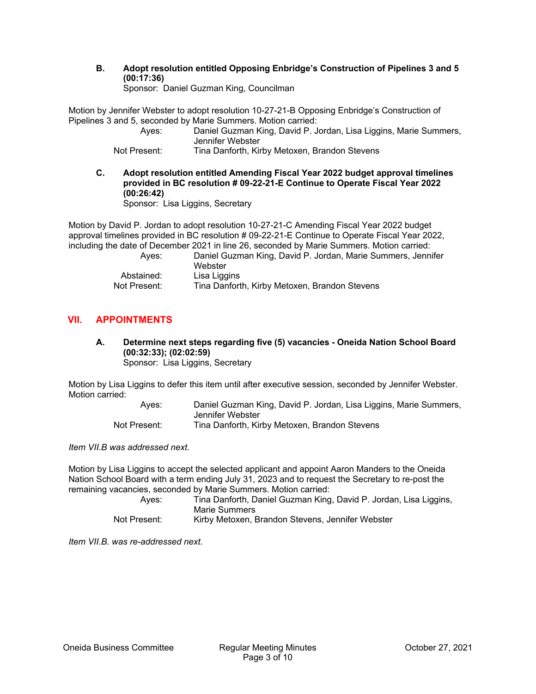**B. Adopt resolution entitled Opposing Enbridge's Construction of Pipelines 3 and 5 (00:17:36)** 

Sponsor: Daniel Guzman King, Councilman

Motion by Jennifer Webster to adopt resolution 10-27-21-B Opposing Enbridge's Construction of Pipelines 3 and 5, seconded by Marie Summers. Motion carried:

 Ayes: Daniel Guzman King, David P. Jordan, Lisa Liggins, Marie Summers, Jennifer Webster Not Present: Tina Danforth, Kirby Metoxen, Brandon Stevens

**C. Adopt resolution entitled Amending Fiscal Year 2022 budget approval timelines provided in BC resolution # 09-22-21-E Continue to Operate Fiscal Year 2022 (00:26:42)**  Sponsor: Lisa Liggins, Secretary

Motion by David P. Jordan to adopt resolution 10-27-21-C Amending Fiscal Year 2022 budget approval timelines provided in BC resolution # 09-22-21-E Continue to Operate Fiscal Year 2022, including the date of December 2021 in line 26, seconded by Marie Summers. Motion carried:

| Aves:        | Daniel Guzman King, David P. Jordan, Marie Summers, Jennifer<br>Webster |
|--------------|-------------------------------------------------------------------------|
| Abstained:   | Lisa Liggins                                                            |
| Not Present: | Tina Danforth, Kirby Metoxen, Brandon Stevens                           |

# **VII. APPOINTMENTS**

**A. Determine next steps regarding five (5) vacancies - Oneida Nation School Board (00:32:33); (02:02:59)**  Sponsor: Lisa Liggins, Secretary

Motion by Lisa Liggins to defer this item until after executive session, seconded by Jennifer Webster. Motion carried:

> Ayes: Daniel Guzman King, David P. Jordan, Lisa Liggins, Marie Summers, Jennifer Webster Not Present: Tina Danforth, Kirby Metoxen, Brandon Stevens

*Item VII.B was addressed next.* 

Motion by Lisa Liggins to accept the selected applicant and appoint Aaron Manders to the Oneida Nation School Board with a term ending July 31, 2023 and to request the Secretary to re-post the remaining vacancies, seconded by Marie Summers. Motion carried:

 Ayes: Tina Danforth, Daniel Guzman King, David P. Jordan, Lisa Liggins, Marie Summers Not Present: Kirby Metoxen, Brandon Stevens, Jennifer Webster

*Item VII.B. was re-addressed next.*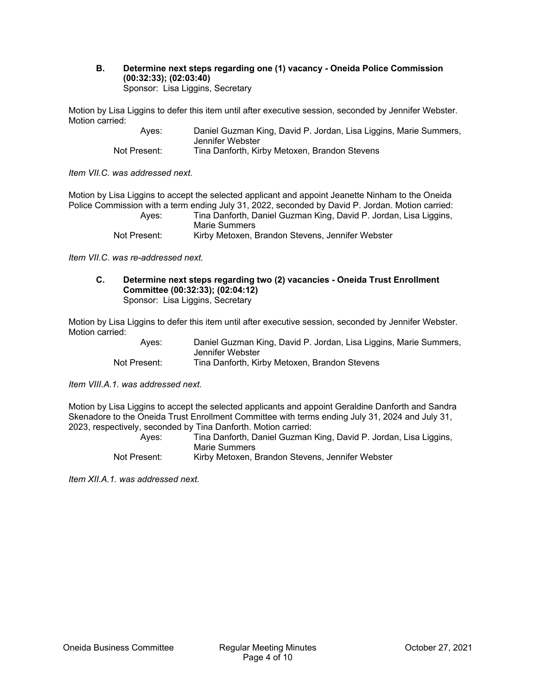#### **B. Determine next steps regarding one (1) vacancy - Oneida Police Commission (00:32:33); (02:03:40)**  Sponsor: Lisa Liggins, Secretary

Motion by Lisa Liggins to defer this item until after executive session, seconded by Jennifer Webster. Motion carried:

| Aves:        | Daniel Guzman King, David P. Jordan, Lisa Liggins, Marie Summers, |
|--------------|-------------------------------------------------------------------|
|              | Jennifer Webster                                                  |
| Not Present: | Tina Danforth, Kirby Metoxen, Brandon Stevens                     |

*Item VII.C. was addressed next.* 

Motion by Lisa Liggins to accept the selected applicant and appoint Jeanette Ninham to the Oneida Police Commission with a term ending July 31, 2022, seconded by David P. Jordan. Motion carried: Ayes: Tina Danforth, Daniel Guzman King, David P. Jordan, Lisa Liggins, Marie Summers

Not Present: Kirby Metoxen, Brandon Stevens, Jennifer Webster

*Item VII.C. was re-addressed next.* 

**C. Determine next steps regarding two (2) vacancies - Oneida Trust Enrollment Committee (00:32:33); (02:04:12)**  Sponsor: Lisa Liggins, Secretary

Motion by Lisa Liggins to defer this item until after executive session, seconded by Jennifer Webster. Motion carried:

| Ayes:        | Daniel Guzman King, David P. Jordan, Lisa Liggins, Marie Summers, |
|--------------|-------------------------------------------------------------------|
|              | Jennifer Webster                                                  |
| Not Present: | Tina Danforth, Kirby Metoxen, Brandon Stevens                     |

*Item VIII.A.1. was addressed next.* 

Motion by Lisa Liggins to accept the selected applicants and appoint Geraldine Danforth and Sandra Skenadore to the Oneida Trust Enrollment Committee with terms ending July 31, 2024 and July 31, 2023, respectively, seconded by Tina Danforth. Motion carried:

| Aves:        | Tina Danforth, Daniel Guzman King, David P. Jordan, Lisa Liggins, |
|--------------|-------------------------------------------------------------------|
|              | Marie Summers                                                     |
| Not Present: | Kirby Metoxen, Brandon Stevens, Jennifer Webster                  |

*Item XII.A.1. was addressed next.*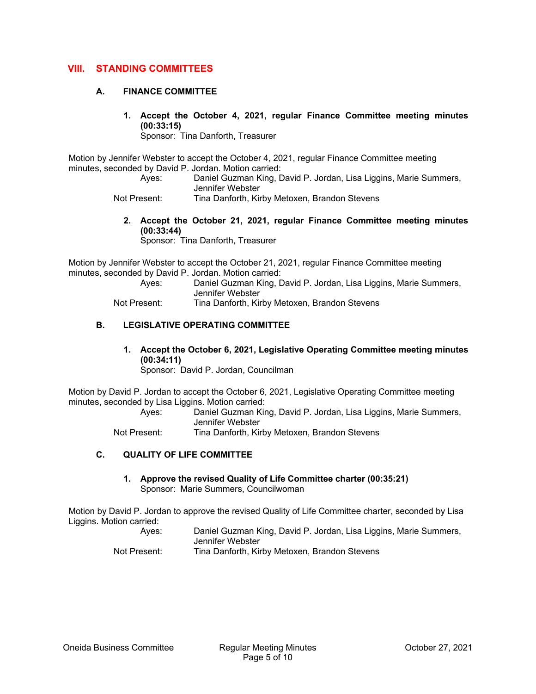## **VIII. STANDING COMMITTEES**

#### **A. FINANCE COMMITTEE**

**1. Accept the October 4, 2021, regular Finance Committee meeting minutes (00:33:15)** 

Sponsor: Tina Danforth, Treasurer

Motion by Jennifer Webster to accept the October 4, 2021, regular Finance Committee meeting minutes, seconded by David P. Jordan. Motion carried:

 Ayes: Daniel Guzman King, David P. Jordan, Lisa Liggins, Marie Summers, Jennifer Webster

- Not Present: Tina Danforth, Kirby Metoxen, Brandon Stevens
	- **2. Accept the October 21, 2021, regular Finance Committee meeting minutes (00:33:44)**  Sponsor: Tina Danforth, Treasurer

Motion by Jennifer Webster to accept the October 21, 2021, regular Finance Committee meeting minutes, seconded by David P. Jordan. Motion carried:

 Ayes: Daniel Guzman King, David P. Jordan, Lisa Liggins, Marie Summers, Jennifer Webster Not Present: Tina Danforth, Kirby Metoxen, Brandon Stevens

## **B. LEGISLATIVE OPERATING COMMITTEE**

**1. Accept the October 6, 2021, Legislative Operating Committee meeting minutes (00:34:11)** 

Sponsor: David P. Jordan, Councilman

Motion by David P. Jordan to accept the October 6, 2021, Legislative Operating Committee meeting minutes, seconded by Lisa Liggins. Motion carried:

 Ayes: Daniel Guzman King, David P. Jordan, Lisa Liggins, Marie Summers, Jennifer Webster

Not Present: Tina Danforth, Kirby Metoxen, Brandon Stevens

### **C. QUALITY OF LIFE COMMITTEE**

**1. Approve the revised Quality of Life Committee charter (00:35:21)**  Sponsor: Marie Summers, Councilwoman

Motion by David P. Jordan to approve the revised Quality of Life Committee charter, seconded by Lisa Liggins. Motion carried:

> Ayes: Daniel Guzman King, David P. Jordan, Lisa Liggins, Marie Summers, Jennifer Webster Not Present: Tina Danforth, Kirby Metoxen, Brandon Stevens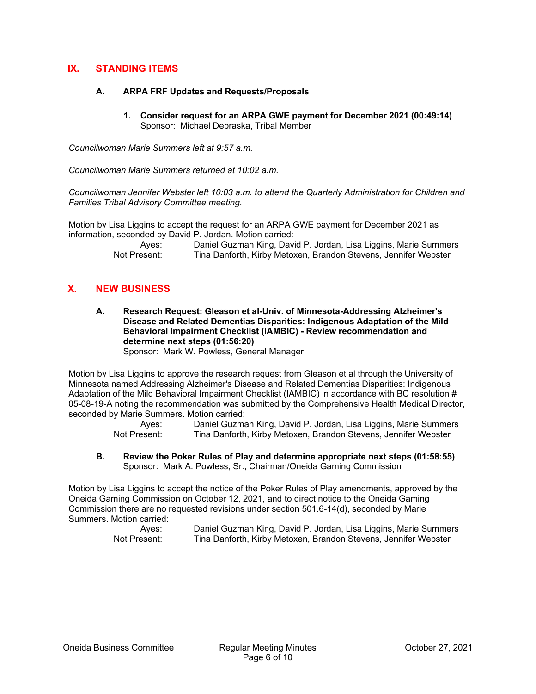## **IX. STANDING ITEMS**

#### **A. ARPA FRF Updates and Requests/Proposals**

**1. Consider request for an ARPA GWE payment for December 2021 (00:49:14)**  Sponsor: Michael Debraska, Tribal Member

*Councilwoman Marie Summers left at 9:57 a.m.* 

*Councilwoman Marie Summers returned at 10:02 a.m.* 

*Councilwoman Jennifer Webster left 10:03 a.m. to attend the Quarterly Administration for Children and Families Tribal Advisory Committee meeting.* 

Motion by Lisa Liggins to accept the request for an ARPA GWE payment for December 2021 as information, seconded by David P. Jordan. Motion carried:

| Ayes:        | Daniel Guzman King, David P. Jordan, Lisa Liggins, Marie Summers |
|--------------|------------------------------------------------------------------|
| Not Present: | Tina Danforth, Kirby Metoxen, Brandon Stevens, Jennifer Webster  |

## **X. NEW BUSINESS**

**A. Research Request: Gleason et al-Univ. of Minnesota-Addressing Alzheimer's Disease and Related Dementias Disparities: Indigenous Adaptation of the Mild Behavioral Impairment Checklist (IAMBIC) - Review recommendation and determine next steps (01:56:20)**  Sponsor: Mark W. Powless, General Manager

Motion by Lisa Liggins to approve the research request from Gleason et al through the University of Minnesota named Addressing Alzheimer's Disease and Related Dementias Disparities: Indigenous Adaptation of the Mild Behavioral Impairment Checklist (IAMBIC) in accordance with BC resolution # 05-08-19-A noting the recommendation was submitted by the Comprehensive Health Medical Director, seconded by Marie Summers. Motion carried:

> Ayes: Daniel Guzman King, David P. Jordan, Lisa Liggins, Marie Summers Not Present: Tina Danforth, Kirby Metoxen, Brandon Stevens, Jennifer Webster

**B. Review the Poker Rules of Play and determine appropriate next steps (01:58:55)**  Sponsor: Mark A. Powless, Sr., Chairman/Oneida Gaming Commission

Motion by Lisa Liggins to accept the notice of the Poker Rules of Play amendments, approved by the Oneida Gaming Commission on October 12, 2021, and to direct notice to the Oneida Gaming Commission there are no requested revisions under section 501.6-14(d), seconded by Marie Summers. Motion carried:

 Ayes: Daniel Guzman King, David P. Jordan, Lisa Liggins, Marie Summers Not Present: Tina Danforth, Kirby Metoxen, Brandon Stevens, Jennifer Webster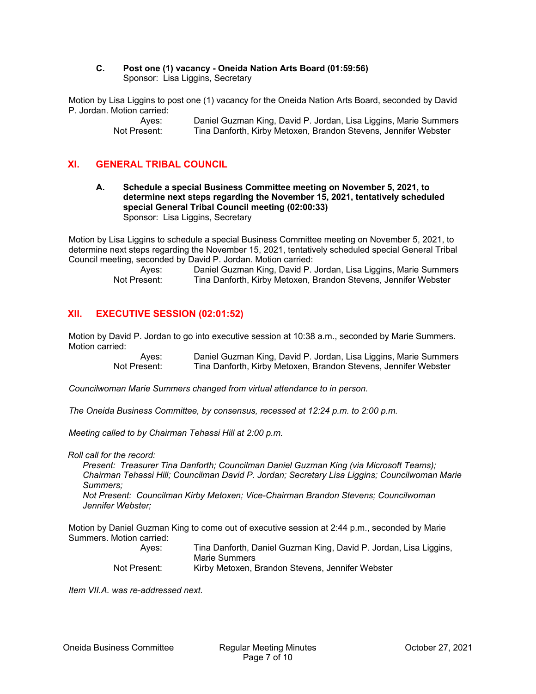#### **C. Post one (1) vacancy - Oneida Nation Arts Board (01:59:56)**  Sponsor: Lisa Liggins, Secretary

Motion by Lisa Liggins to post one (1) vacancy for the Oneida Nation Arts Board, seconded by David P. Jordan. Motion carried:

 Ayes: Daniel Guzman King, David P. Jordan, Lisa Liggins, Marie Summers Not Present: Tina Danforth, Kirby Metoxen, Brandon Stevens, Jennifer Webster

# **XI. GENERAL TRIBAL COUNCIL**

**A. Schedule a special Business Committee meeting on November 5, 2021, to determine next steps regarding the November 15, 2021, tentatively scheduled special General Tribal Council meeting (02:00:33)**  Sponsor: Lisa Liggins, Secretary

Motion by Lisa Liggins to schedule a special Business Committee meeting on November 5, 2021, to determine next steps regarding the November 15, 2021, tentatively scheduled special General Tribal Council meeting, seconded by David P. Jordan. Motion carried:

Ayes: Daniel Guzman King, David P. Jordan, Lisa Liggins, Marie Summers<br>Not Present: Tina Danforth. Kirby Metoxen. Brandon Stevens. Jennifer Webster Tina Danforth, Kirby Metoxen, Brandon Stevens, Jennifer Webster

# **XII. EXECUTIVE SESSION (02:01:52)**

Motion by David P. Jordan to go into executive session at 10:38 a.m., seconded by Marie Summers. Motion carried:

> Ayes: Daniel Guzman King, David P. Jordan, Lisa Liggins, Marie Summers Not Present: Tina Danforth, Kirby Metoxen, Brandon Stevens, Jennifer Webster

*Councilwoman Marie Summers changed from virtual attendance to in person.* 

*The Oneida Business Committee, by consensus, recessed at 12:24 p.m. to 2:00 p.m.* 

*Meeting called to by Chairman Tehassi Hill at 2:00 p.m.* 

*Roll call for the record:* 

*Present: Treasurer Tina Danforth; Councilman Daniel Guzman King (via Microsoft Teams); Chairman Tehassi Hill; Councilman David P. Jordan; Secretary Lisa Liggins; Councilwoman Marie Summers;* 

*Not Present: Councilman Kirby Metoxen; Vice-Chairman Brandon Stevens; Councilwoman Jennifer Webster;* 

Motion by Daniel Guzman King to come out of executive session at 2:44 p.m., seconded by Marie Summers. Motion carried:

| Ayes:        | Tina Danforth, Daniel Guzman King, David P. Jordan, Lisa Liggins, |
|--------------|-------------------------------------------------------------------|
|              | Marie Summers                                                     |
| Not Present: | Kirby Metoxen, Brandon Stevens, Jennifer Webster                  |

*Item VII.A. was re-addressed next.*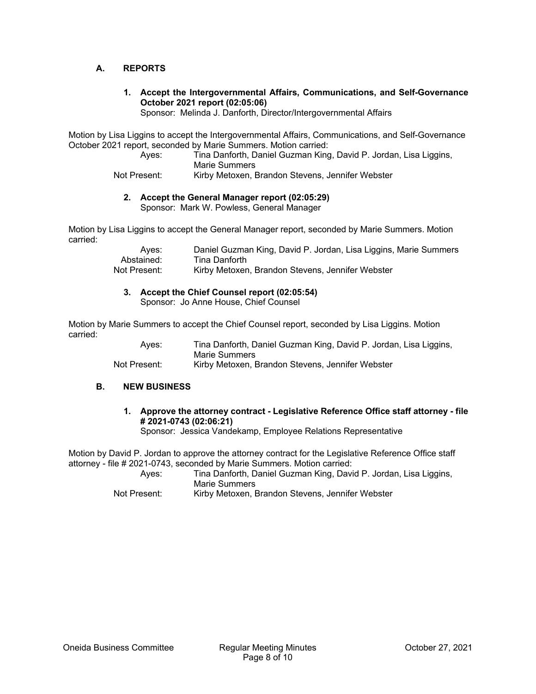### **A. REPORTS**

**1. Accept the Intergovernmental Affairs, Communications, and Self-Governance October 2021 report (02:05:06)** 

Sponsor: Melinda J. Danforth, Director/Intergovernmental Affairs

Motion by Lisa Liggins to accept the Intergovernmental Affairs, Communications, and Self-Governance October 2021 report, seconded by Marie Summers. Motion carried:

 Ayes: Tina Danforth, Daniel Guzman King, David P. Jordan, Lisa Liggins, Marie Summers

Not Present: Kirby Metoxen, Brandon Stevens, Jennifer Webster

**2. Accept the General Manager report (02:05:29)** 

Sponsor: Mark W. Powless, General Manager

Motion by Lisa Liggins to accept the General Manager report, seconded by Marie Summers. Motion carried:

> Ayes: Daniel Guzman King, David P. Jordan, Lisa Liggins, Marie Summers<br>Abstained: Tina Danforth Abstained: Tina Danforth<br>Not Present: Kirby Metoxer Kirby Metoxen, Brandon Stevens, Jennifer Webster

#### **3. Accept the Chief Counsel report (02:05:54)**

Sponsor: Jo Anne House, Chief Counsel

Motion by Marie Summers to accept the Chief Counsel report, seconded by Lisa Liggins. Motion carried:

 Ayes: Tina Danforth, Daniel Guzman King, David P. Jordan, Lisa Liggins, Marie Summers Not Present: Kirby Metoxen, Brandon Stevens, Jennifer Webster

#### **B. NEW BUSINESS**

**1. Approve the attorney contract - Legislative Reference Office staff attorney - file # 2021-0743 (02:06:21)** 

Sponsor: Jessica Vandekamp, Employee Relations Representative

Motion by David P. Jordan to approve the attorney contract for the Legislative Reference Office staff attorney - file # 2021-0743, seconded by Marie Summers. Motion carried:

 Ayes: Tina Danforth, Daniel Guzman King, David P. Jordan, Lisa Liggins, Marie Summers

Not Present: Kirby Metoxen, Brandon Stevens, Jennifer Webster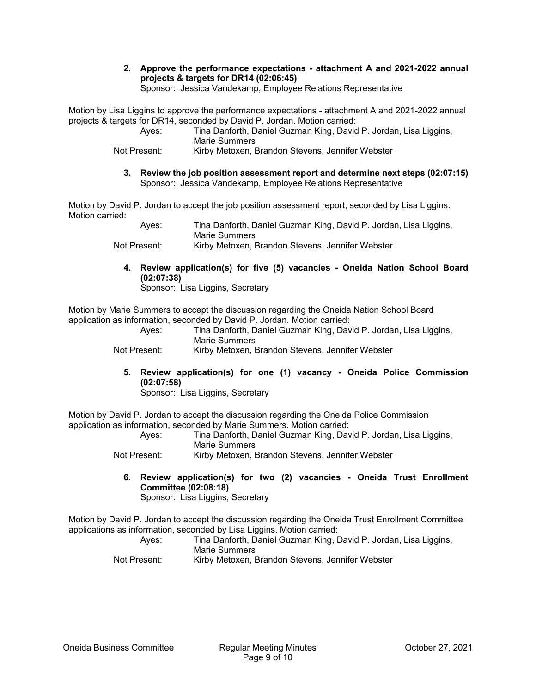**2. Approve the performance expectations - attachment A and 2021-2022 annual projects & targets for DR14 (02:06:45)** 

Sponsor: Jessica Vandekamp, Employee Relations Representative

Motion by Lisa Liggins to approve the performance expectations - attachment A and 2021-2022 annual projects & targets for DR14, seconded by David P. Jordan. Motion carried:

| Aves:        | Tina Danforth, Daniel Guzman King, David P. Jordan, Lisa Liggins, |
|--------------|-------------------------------------------------------------------|
|              | Marie Summers                                                     |
| Not Present: | Kirby Metoxen, Brandon Stevens, Jennifer Webster                  |

**3. Review the job position assessment report and determine next steps (02:07:15)**  Sponsor: Jessica Vandekamp, Employee Relations Representative

Motion by David P. Jordan to accept the job position assessment report, seconded by Lisa Liggins. Motion carried:

| Aves:        | Tina Danforth, Daniel Guzman King, David P. Jordan, Lisa Liggins, |
|--------------|-------------------------------------------------------------------|
|              | Marie Summers                                                     |
| Not Present: | Kirby Metoxen, Brandon Stevens, Jennifer Webster                  |

**4. Review application(s) for five (5) vacancies - Oneida Nation School Board (02:07:38)** 

Sponsor: Lisa Liggins, Secretary

Motion by Marie Summers to accept the discussion regarding the Oneida Nation School Board application as information, seconded by David P. Jordan. Motion carried:

| Ayes: | Tina Danforth, Daniel Guzman King, David P. Jordan, Lisa Liggins,<br>Marie Summers |
|-------|------------------------------------------------------------------------------------|
|       |                                                                                    |

Not Present: Kirby Metoxen, Brandon Stevens, Jennifer Webster

**5. Review application(s) for one (1) vacancy - Oneida Police Commission (02:07:58)** 

Sponsor: Lisa Liggins, Secretary

Motion by David P. Jordan to accept the discussion regarding the Oneida Police Commission application as information, seconded by Marie Summers. Motion carried:

 Ayes: Tina Danforth, Daniel Guzman King, David P. Jordan, Lisa Liggins, Marie Summers

Not Present: Kirby Metoxen, Brandon Stevens, Jennifer Webster

**6. Review application(s) for two (2) vacancies - Oneida Trust Enrollment Committee (02:08:18)**  Sponsor: Lisa Liggins, Secretary

Motion by David P. Jordan to accept the discussion regarding the Oneida Trust Enrollment Committee applications as information, seconded by Lisa Liggins. Motion carried:

| Aves:        | Tina Danforth, Daniel Guzman King, David P. Jordan, Lisa Liggins, |
|--------------|-------------------------------------------------------------------|
|              | Marie Summers                                                     |
| Not Present: | Kirby Metoxen, Brandon Stevens, Jennifer Webster                  |